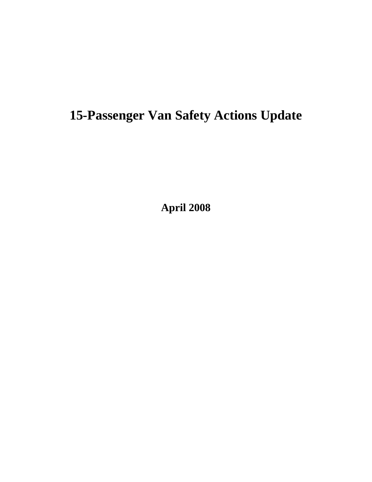# **15-Passenger Van Safety Actions Update**

**April 2008**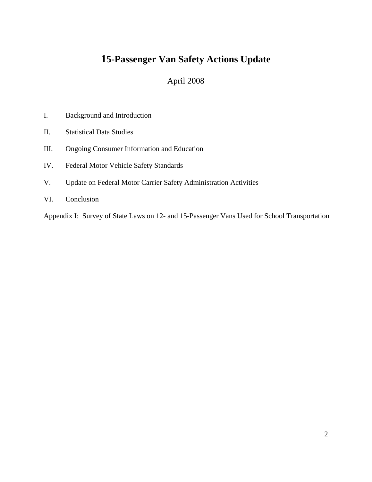## **15-Passenger Van Safety Actions Update**

### April 2008

- I. Background and Introduction
- II. Statistical Data Studies
- III. Ongoing Consumer Information and Education
- IV. Federal Motor Vehicle Safety Standards
- V. Update on Federal Motor Carrier Safety Administration Activities
- VI. Conclusion

Appendix I: Survey of State Laws on 12- and 15-Passenger Vans Used for School Transportation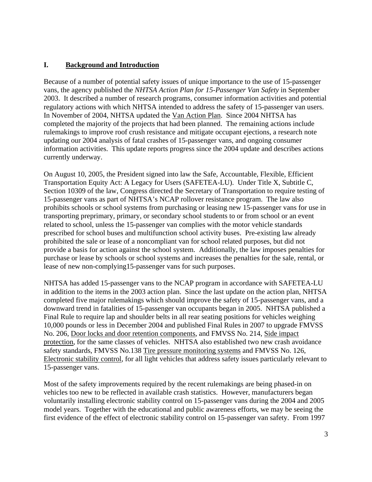#### **I. Background and Introduction**

Because of a number of potential safety issues of unique importance to the use of 15-passenger vans, the agency published the *NHTSA Action Plan for 15-Passenger Van Safety* in September 2003. It described a number of research programs, consumer information activities and potential regulatory actions with which NHTSA intended to address the safety of 15-passenger van users. In November of 2004, NHTSA updated the [Van Action Plan](http://www.nhtsa.dot.gov/cars/problems/studies/15PassVans/15passvan.html). Since 2004 NHTSA has completed the majority of the projects that had been planned. The remaining actions include rulemakings to improve roof crush resistance and mitigate occupant ejections, a research note updating our 2004 analysis of fatal crashes of 15-passenger vans, and ongoing consumer information activities. This update reports progress since the 2004 update and describes actions currently underway.

On August 10, 2005, the President signed into law the Safe, Accountable, Flexible, Efficient Transportation Equity Act: A Legacy for Users (SAFETEA-LU). Under Title X, Subtitle C, Section 10309 of the law, Congress directed the Secretary of Transportation to require testing of 15-passenger vans as part of NHTSA's NCAP rollover resistance program. The law also prohibits schools or school systems from purchasing or leasing new 15-passenger vans for use in transporting preprimary, primary, or secondary school students to or from school or an event related to school, unless the 15-passenger van complies with the motor vehicle standards prescribed for school buses and multifunction school activity buses. Pre-existing law already prohibited the sale or lease of a noncompliant van for school related purposes, but did not provide a basis for action against the school system. Additionally, the law imposes penalties for purchase or lease by schools or school systems and increases the penalties for the sale, rental, or lease of new non-complying15-passenger vans for such purposes.

NHTSA has added 15-passenger vans to the NCAP program in accordance with SAFETEA-LU in addition to the items in the 2003 action plan. Since the last update on the action plan, NHTSA completed five major rulemakings which should improve the safety of 15-passenger vans, and a downward trend in fatalities of 15-passenger van occupants began in 2005. NHTSA published a Final Rule to require lap and shoulder belts in all rear seating positions for vehicles weighing 10,000 pounds or less in December 2004 and published Final Rules in 2007 to upgrade FMVSS No. 206, Door locks and door retention components, and FMVSS No. 214, Side impact protection, for the same classes of vehicles. NHTSA also established two new crash avoidance safety standards, FMVSS No.138 Tire pressure monitoring systems and FMVSS No. 126, Electronic stability control, for all light vehicles that address safety issues particularly relevant to 15-passenger vans.

Most of the safety improvements required by the recent rulemakings are being phased-in on vehicles too new to be reflected in available crash statistics. However, manufacturers began voluntarily installing electronic stability control on 15-passenger vans during the 2004 and 2005 model years. Together with the educational and public awareness efforts, we may be seeing the first evidence of the effect of electronic stability control on 15-passenger van safety. From 1997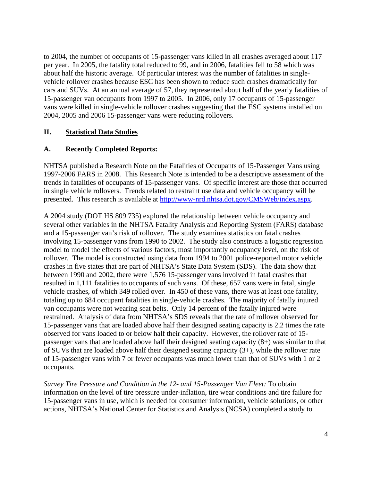to 2004, the number of occupants of 15-passenger vans killed in all crashes averaged about 117 per year. In 2005, the fatality total reduced to 99, and in 2006, fatalities fell to 58 which was about half the historic average. Of particular interest was the number of fatalities in singlevehicle rollover crashes because ESC has been shown to reduce such crashes dramatically for cars and SUVs. At an annual average of 57, they represented about half of the yearly fatalities of 15-passenger van occupants from 1997 to 2005. In 2006, only 17 occupants of 15-passenger vans were killed in single-vehicle rollover crashes suggesting that the ESC systems installed on 2004, 2005 and 2006 15-passenger vans were reducing rollovers.

#### **II. Statistical Data Studies**

#### **A. Recently Completed Reports:**

NHTSA published a Research Note on the Fatalities of Occupants of 15-Passenger Vans using 1997-2006 FARS in 2008. This Research Note is intended to be a descriptive assessment of the trends in fatalities of occupants of 15-passenger vans. Of specific interest are those that occurred in single vehicle rollovers. Trends related to restraint use data and vehicle occupancy will be presented. This research is available at [http://www-nrd.nhtsa.dot.gov/CMSWeb/index.aspx.](http://www-nrd.nhtsa.dot.gov/CMSWeb/index.aspx)

A 2004 study (DOT HS 809 735) explored the relationship between vehicle occupancy and several other variables in the NHTSA Fatality Analysis and Reporting System (FARS) database and a 15-passenger van's risk of rollover. The study examines statistics on fatal crashes involving 15-passenger vans from 1990 to 2002. The study also constructs a logistic regression model to model the effects of various factors, most importantly occupancy level, on the risk of rollover. The model is constructed using data from 1994 to 2001 police-reported motor vehicle crashes in five states that are part of NHTSA's State Data System (SDS). The data show that between 1990 and 2002, there were 1,576 15-passenger vans involved in fatal crashes that resulted in 1,111 fatalities to occupants of such vans. Of these, 657 vans were in fatal, single vehicle crashes, of which 349 rolled over. In 450 of these vans, there was at least one fatality, totaling up to 684 occupant fatalities in single-vehicle crashes. The majority of fatally injured van occupants were not wearing seat belts. Only 14 percent of the fatally injured were restrained. Analysis of data from NHTSA's SDS reveals that the rate of rollover observed for 15-passenger vans that are loaded above half their designed seating capacity is 2.2 times the rate observed for vans loaded to or below half their capacity. However, the rollover rate of 15 passenger vans that are loaded above half their designed seating capacity (8+) was similar to that of SUVs that are loaded above half their designed seating capacity (3+), while the rollover rate of 15-passenger vans with 7 or fewer occupants was much lower than that of SUVs with 1 or 2 occupants.

*Survey Tire Pressure and Condition in the 12- and 15-Passenger Van Fleet:* To obtain information on the level of tire pressure under-inflation, tire wear conditions and tire failure for 15-passenger vans in use, which is needed for consumer information, vehicle solutions, or other actions, NHTSA's National Center for Statistics and Analysis (NCSA) completed a study to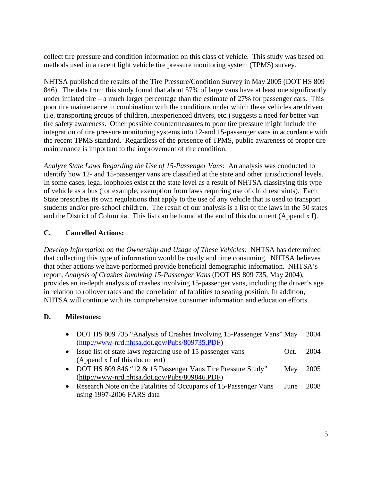collect tire pressure and condition information on this class of vehicle. This study was based on methods used in a recent light vehicle tire pressure monitoring system (TPMS) survey.

NHTSA published the results of the Tire Pressure/Condition Survey in May 2005 (DOT HS 809 846). The data from this study found that about 57% of large vans have at least one significantly under inflated tire – a much larger percentage than the estimate of 27% for passenger cars. This poor tire maintenance in combination with the conditions under which these vehicles are driven (i.e. transporting groups of children, inexperienced drivers, etc.) suggests a need for better van tire safety awareness. Other possible countermeasures to poor tire pressure might include the integration of tire pressure monitoring systems into 12-and 15-passenger vans in accordance with the recent TPMS standard. Regardless of the presence of TPMS, public awareness of proper tire maintenance is important to the improvement of tire condition.

*Analyze State Laws Regarding the Use of 15-Passenger Vans*: An analysis was conducted to identify how 12- and 15-passenger vans are classified at the state and other jurisdictional levels. In some cases, legal loopholes exist at the state level as a result of NHTSA classifying this type of vehicle as a bus (for example, exemption from laws requiring use of child restraints). Each State prescribes its own regulations that apply to the use of any vehicle that is used to transport students and/or pre-school children. The result of our analysis is a list of the laws in the 50 states and the District of Columbia. This list can be found at the end of this document (Appendix I).

#### **C. Cancelled Actions:**

*Develop Information on the Ownership and Usage of These Vehicles:* NHTSA has determined that collecting this type of information would be costly and time consuming. NHTSA believes that other actions we have performed provide beneficial demographic information. NHTSA's report, *Analysis of Crashes Involving 15-Passenger Vans* (DOT HS 809 735, May 2004), provides an in-depth analysis of crashes involving 15-passenger vans, including the driver's age in relation to rollover rates and the correlation of fatalities to seating position. In addition, NHTSA will continue with its comprehensive consumer information and education efforts.

#### **D. Milestones:**

- DOT HS 809 735 "Analysis of Crashes Involving 15-Passenger Vans" May 2004 (<http://www-nrd.nhtsa.dot.gov/Pubs/809735.PDF>)
- Issue list of state laws regarding use of 15 passenger vans Oct. 2004 (Appendix I of this document)
- DOT HS 809 846 "12 & 15 Passenger Vans Tire Pressure Study" May 2005 (<http://www-nrd.nhtsa.dot.gov/Pubs/809846.PDF>)
- Research Note on the Fatalities of Occupants of 15-Passenger Vans June 2008 using 1997-2006 FARS data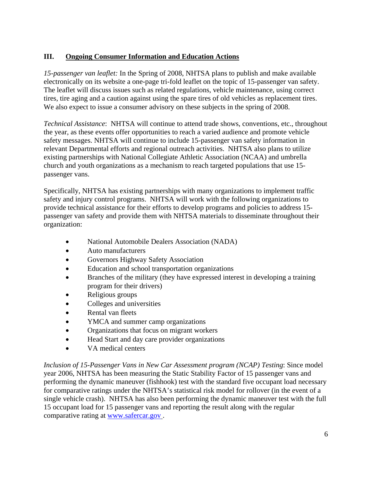#### **III. Ongoing Consumer Information and Education Actions**

*15-passenger van leaflet:* In the Spring of 2008, NHTSA plans to publish and make available electronically on its website a one-page tri-fold leaflet on the topic of 15-passenger van safety. The leaflet will discuss issues such as related regulations, vehicle maintenance, using correct tires, tire aging and a caution against using the spare tires of old vehicles as replacement tires. We also expect to issue a consumer advisory on these subjects in the spring of 2008.

*Technical Assistance*: NHTSA will continue to attend trade shows, conventions, etc., throughout the year, as these events offer opportunities to reach a varied audience and promote vehicle safety messages. NHTSA will continue to include 15-passenger van safety information in relevant Departmental efforts and regional outreach activities. NHTSA also plans to utilize existing partnerships with National Collegiate Athletic Association (NCAA) and umbrella church and youth organizations as a mechanism to reach targeted populations that use 15 passenger vans.

Specifically, NHTSA has existing partnerships with many organizations to implement traffic safety and injury control programs. NHTSA will work with the following organizations to provide technical assistance for their efforts to develop programs and policies to address 15 passenger van safety and provide them with NHTSA materials to disseminate throughout their organization:

- National Automobile Dealers Association (NADA)
- Auto manufacturers
- Governors Highway Safety Association
- Education and school transportation organizations
- Branches of the military (they have expressed interest in developing a training program for their drivers)
- Religious groups
- Colleges and universities
- Rental van fleets
- YMCA and summer camp organizations
- Organizations that focus on migrant workers
- Head Start and day care provider organizations
- VA medical centers

*Inclusion of 15-Passenger Vans in New Car Assessment program (NCAP) Testing*: Since model year 2006, NHTSA has been measuring the Static Stability Factor of 15 passenger vans and performing the dynamic maneuver (fishhook) test with the standard five occupant load necessary for comparative ratings under the NHTSA's statistical risk model for rollover (in the event of a single vehicle crash). NHTSA has also been performing the dynamic maneuver test with the full 15 occupant load for 15 passenger vans and reporting the result along with the regular comparative rating at [www.safercar.gov](http://www.safercar.gov/) .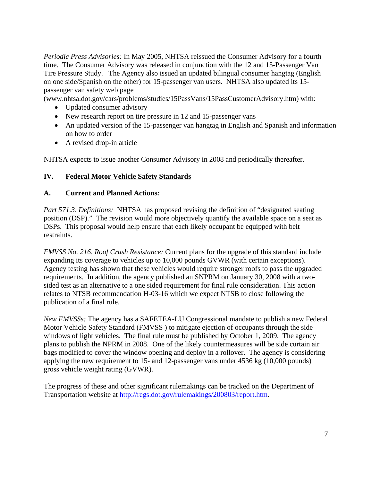*Periodic Press Advisories:* In May 2005, NHTSA reissued the Consumer Advisory for a fourth time. The Consumer Advisory was released in conjunction with the 12 and 15-Passenger Van Tire Pressure Study. The Agency also issued an updated bilingual consumer hangtag (English on one side/Spanish on the other) for 15-passenger van users. NHTSA also updated its 15 passenger van safety web page

([www.nhtsa.dot.gov/cars/problems/studies/15PassVans/15PassCustomerAdvisory.htm\)](http://www.nhtsa.dot.gov/cars/problems/studies/15PassVans/15PassCustomerAdvisory.htm) with:

- Updated consumer advisory
- New research report on tire pressure in 12 and 15-passenger vans
- An updated version of the 15-passenger van hangtag in English and Spanish and information on how to order
- A revised drop-in article

NHTSA expects to issue another Consumer Advisory in 2008 and periodically thereafter.

#### **IV. Federal Motor Vehicle Safety Standards**

#### **A. Current and Planned Actions***:*

*Part 571.3, Definitions:* NHTSA has proposed revising the definition of "designated seating" position (DSP)." The revision would more objectively quantify the available space on a seat as DSPs. This proposal would help ensure that each likely occupant be equipped with belt restraints.

*FMVSS No. 216, Roof Crush Resistance:* Current plans for the upgrade of this standard include expanding its coverage to vehicles up to 10,000 pounds GVWR (with certain exceptions). Agency testing has shown that these vehicles would require stronger roofs to pass the upgraded requirements. In addition, the agency published an SNPRM on January 30, 2008 with a twosided test as an alternative to a one sided requirement for final rule consideration. This action relates to NTSB recommendation H-03-16 which we expect NTSB to close following the publication of a final rule.

*New FMVSSs:* The agency has a SAFETEA-LU Congressional mandate to publish a new Federal Motor Vehicle Safety Standard (FMVSS ) to mitigate ejection of occupants through the side windows of light vehicles. The final rule must be published by October 1, 2009. The agency plans to publish the NPRM in 2008. One of the likely countermeasures will be side curtain air bags modified to cover the window opening and deploy in a rollover. The agency is considering applying the new requirement to 15- and 12-passenger vans under 4536 kg (10,000 pounds) gross vehicle weight rating (GVWR).

The progress of these and other significant rulemakings can be tracked on the Department of Transportation website at [http://regs.dot.gov/rulemakings/200803/report.htm.](http://regs.dot.gov/rulemakings/200803/report.htm)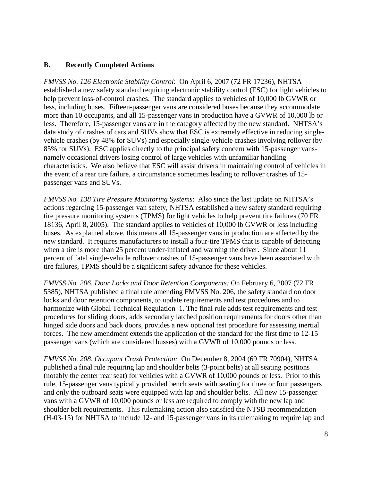#### **B. Recently Completed Actions**

*FMVSS No. 126 Electronic Stability Control*: On April 6, 2007 (72 FR 17236), NHTSA established a new safety standard requiring electronic stability control (ESC) for light vehicles to help prevent loss-of-control crashes. The standard applies to vehicles of 10,000 lb GVWR or less, including buses. Fifteen-passenger vans are considered buses because they accommodate more than 10 occupants, and all 15-passenger vans in production have a GVWR of 10,000 lb or less. Therefore, 15-passenger vans are in the category affected by the new standard. NHTSA's data study of crashes of cars and SUVs show that ESC is extremely effective in reducing singlevehicle crashes (by 48% for SUVs) and especially single-vehicle crashes involving rollover (by 85% for SUVs). ESC applies directly to the principal safety concern with 15-passenger vansnamely occasional drivers losing control of large vehicles with unfamiliar handling characteristics. We also believe that ESC will assist drivers in maintaining control of vehicles in the event of a rear tire failure, a circumstance sometimes leading to rollover crashes of 15 passenger vans and SUVs.

*FMVSS No. 138 Tire Pressure Monitoring Systems*: Also since the last update on NHTSA's actions regarding 15-passenger van safety, NHTSA established a new safety standard requiring tire pressure monitoring systems (TPMS) for light vehicles to help prevent tire failures (70 FR 18136, April 8, 2005). The standard applies to vehicles of 10,000 lb GVWR or less including buses. As explained above, this means all 15-passenger vans in production are affected by the new standard. It requires manufacturers to install a four-tire TPMS that is capable of detecting when a tire is more than 25 percent under-inflated and warning the driver. Since about 11 percent of fatal single-vehicle rollover crashes of 15-passenger vans have been associated with tire failures, TPMS should be a significant safety advance for these vehicles.

*FMVSS No. 206, Door Locks and Door Retention Components:* On February 6, 2007 (72 FR 5385), NHTSA published a final rule amending FMVSS No. 206, the safety standard on door locks and door retention components, to update requirements and test procedures and to harmonize with Global Technical Regulation 1. The final rule adds test requirements and test procedures for sliding doors, adds secondary latched position requirements for doors other than hinged side doors and back doors, provides a new optional test procedure for assessing inertial forces. The new amendment extends the application of the standard for the first time to 12-15 passenger vans (which are considered busses) with a GVWR of 10,000 pounds or less.

*FMVSS No. 208, Occupant Crash Protection:* On December 8, 2004 (69 FR 70904), NHTSA published a final rule requiring lap and shoulder belts (3-point belts) at all seating positions (notably the center rear seat) for vehicles with a GVWR of 10,000 pounds or less. Prior to this rule, 15-passenger vans typically provided bench seats with seating for three or four passengers and only the outboard seats were equipped with lap and shoulder belts. All new 15-passenger vans with a GVWR of 10,000 pounds or less are required to comply with the new lap and shoulder belt requirements. This rulemaking action also satisfied the NTSB recommendation (H-03-15) for NHTSA to include 12- and 15-passenger vans in its rulemaking to require lap and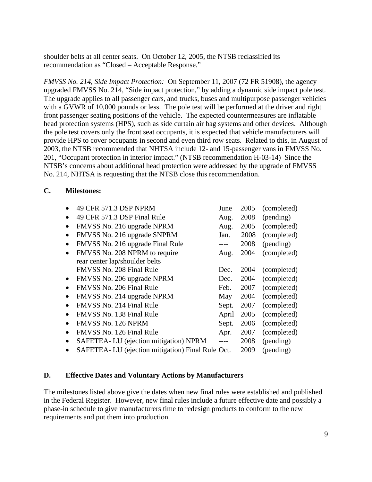shoulder belts at all center seats. On October 12, 2005, the NTSB reclassified its recommendation as "Closed – Acceptable Response."

*FMVSS No. 214, Side Impact Protection:* On September 11, 2007 (72 FR 51908), the agency upgraded FMVSS No. 214, "Side impact protection," by adding a dynamic side impact pole test. The upgrade applies to all passenger cars, and trucks, buses and multipurpose passenger vehicles with a GVWR of 10,000 pounds or less. The pole test will be performed at the driver and right front passenger seating positions of the vehicle. The expected countermeasures are inflatable head protection systems (HPS), such as side curtain air bag systems and other devices. Although the pole test covers only the front seat occupants, it is expected that vehicle manufacturers will provide HPS to cover occupants in second and even third row seats. Related to this, in August of 2003, the NTSB recommended that NHTSA include 12- and 15-passenger vans in FMVSS No. 201, "Occupant protection in interior impact." (NTSB recommendation H-03-14) Since the NTSB's concerns about additional head protection were addressed by the upgrade of FMVSS No. 214, NHTSA is requesting that the NTSB close this recommendation.

#### **C. Milestones:**

|           | 49 CFR 571.3 DSP NPRM                            | June  | 2005 | (completed) |
|-----------|--------------------------------------------------|-------|------|-------------|
|           | 49 CFR 571.3 DSP Final Rule                      | Aug.  | 2008 | (pending)   |
| $\bullet$ | FMVSS No. 216 upgrade NPRM                       | Aug.  | 2005 | (completed) |
| $\bullet$ | FMVSS No. 216 upgrade SNPRM                      | Jan.  | 2008 | (completed) |
| $\bullet$ | FMVSS No. 216 upgrade Final Rule                 | $---$ | 2008 | (pending)   |
| $\bullet$ | FMVSS No. 208 NPRM to require                    | Aug.  | 2004 | (completed) |
|           | rear center lap/shoulder belts                   |       |      |             |
|           | FMVSS No. 208 Final Rule                         | Dec.  | 2004 | (completed) |
| $\bullet$ | FMVSS No. 206 upgrade NPRM                       | Dec.  | 2004 | (completed) |
| $\bullet$ | FMVSS No. 206 Final Rule                         | Feb.  | 2007 | (completed) |
| $\bullet$ | FMVSS No. 214 upgrade NPRM                       | May   | 2004 | (completed) |
|           | FMVSS No. 214 Final Rule                         | Sept. | 2007 | (completed) |
|           | FMVSS No. 138 Final Rule                         | April | 2005 | (completed) |
| $\bullet$ | <b>FMVSS No. 126 NPRM</b>                        | Sept. | 2006 | (completed) |
| $\bullet$ | FMVSS No. 126 Final Rule                         | Apr.  | 2007 | (completed) |
| $\bullet$ | SAFETEA-LU (ejection mitigation) NPRM            | $---$ | 2008 | (pending)   |
|           | SAFETEA-LU (ejection mitigation) Final Rule Oct. |       | 2009 | (pending)   |

#### **D. Effective Dates and Voluntary Actions by Manufacturers**

The milestones listed above give the dates when new final rules were established and published in the Federal Register. However, new final rules include a future effective date and possibly a phase-in schedule to give manufacturers time to redesign products to conform to the new requirements and put them into production.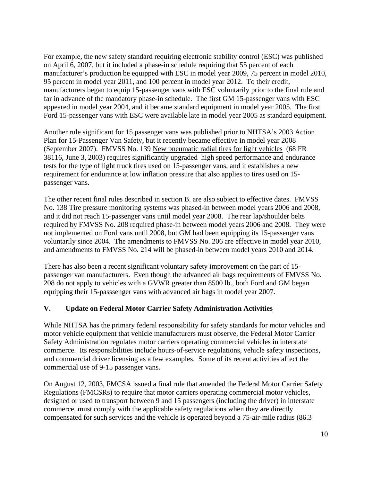For example, the new safety standard requiring electronic stability control (ESC) was published on April 6, 2007, but it included a phase-in schedule requiring that 55 percent of each manufacturer's production be equipped with ESC in model year 2009, 75 percent in model 2010, 95 percent in model year 2011, and 100 percent in model year 2012. To their credit, manufacturers began to equip 15-passenger vans with ESC voluntarily prior to the final rule and far in advance of the mandatory phase-in schedule. The first GM 15-passenger vans with ESC appeared in model year 2004, and it became standard equipment in model year 2005. The first Ford 15-passenger vans with ESC were available late in model year 2005 as standard equipment.

Another rule significant for 15 passenger vans was published prior to NHTSA's 2003 Action Plan for 15-Passenger Van Safety, but it recently became effective in model year 2008 (September 2007). FMVSS No. 139 New pneumatic radial tires for light vehicles (68 FR 38116, June 3, 2003) requires significantly upgraded high speed performance and endurance tests for the type of light truck tires used on 15-passenger vans, and it establishes a new requirement for endurance at low inflation pressure that also applies to tires used on 15 passenger vans.

The other recent final rules described in section B. are also subject to effective dates. FMVSS No. 138 Tire pressure monitoring systems was phased-in between model years 2006 and 2008, and it did not reach 15-passenger vans until model year 2008. The rear lap/shoulder belts required by FMVSS No. 208 required phase-in between model years 2006 and 2008. They were not implemented on Ford vans until 2008, but GM had been equipping its 15-passenger vans voluntarily since 2004. The amendments to FMVSS No. 206 are effective in model year 2010, and amendments to FMVSS No. 214 will be phased-in between model years 2010 and 2014.

There has also been a recent significant voluntary safety improvement on the part of 15 passenger van manufacturers. Even though the advanced air bags requirements of FMVSS No. 208 do not apply to vehicles with a GVWR greater than 8500 lb., both Ford and GM began equipping their 15-passsenger vans with advanced air bags in model year 2007.

#### **V. Update on Federal Motor Carrier Safety Administration Activities**

While NHTSA has the primary federal responsibility for safety standards for motor vehicles and motor vehicle equipment that vehicle manufacturers must observe, the Federal Motor Carrier Safety Administration regulates motor carriers operating commercial vehicles in interstate commerce. Its responsibilities include hours-of-service regulations, vehicle safety inspections, and commercial driver licensing as a few examples. Some of its recent activities affect the commercial use of 9-15 passenger vans.

On August 12, 2003, FMCSA issued a final rule that amended the Federal Motor Carrier Safety Regulations (FMCSRs) to require that motor carriers operating commercial motor vehicles, designed or used to transport between 9 and 15 passengers (including the driver) in interstate commerce, must comply with the applicable safety regulations when they are directly compensated for such services and the vehicle is operated beyond a 75-air-mile radius (86.3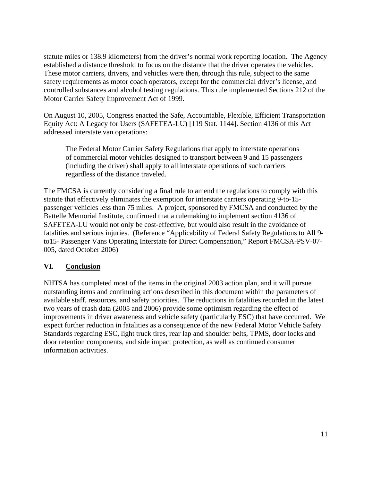statute miles or 138.9 kilometers) from the driver's normal work reporting location. The Agency established a distance threshold to focus on the distance that the driver operates the vehicles. These motor carriers, drivers, and vehicles were then, through this rule, subject to the same safety requirements as motor coach operators, except for the commercial driver's license, and controlled substances and alcohol testing regulations. This rule implemented Sections 212 of the Motor Carrier Safety Improvement Act of 1999.

On August 10, 2005, Congress enacted the Safe, Accountable, Flexible, Efficient Transportation Equity Act: A Legacy for Users (SAFETEA-LU) [119 Stat. 1144]. Section 4136 of this Act addressed interstate van operations:

The Federal Motor Carrier Safety Regulations that apply to interstate operations of commercial motor vehicles designed to transport between 9 and 15 passengers (including the driver) shall apply to all interstate operations of such carriers regardless of the distance traveled.

The FMCSA is currently considering a final rule to amend the regulations to comply with this statute that effectively eliminates the exemption for interstate carriers operating 9-to-15 passenger vehicles less than 75 miles. A project, sponsored by FMCSA and conducted by the Battelle Memorial Institute, confirmed that a rulemaking to implement section 4136 of SAFETEA-LU would not only be cost-effective, but would also result in the avoidance of fatalities and serious injuries. (Reference "Applicability of Federal Safety Regulations to All 9 to15- Passenger Vans Operating Interstate for Direct Compensation," Report FMCSA-PSV-07- 005, dated October 2006)

#### **VI. Conclusion**

NHTSA has completed most of the items in the original 2003 action plan, and it will pursue outstanding items and continuing actions described in this document within the parameters of available staff, resources, and safety priorities. The reductions in fatalities recorded in the latest two years of crash data (2005 and 2006) provide some optimism regarding the effect of improvements in driver awareness and vehicle safety (particularly ESC) that have occurred. We expect further reduction in fatalities as a consequence of the new Federal Motor Vehicle Safety Standards regarding ESC, light truck tires, rear lap and shoulder belts, TPMS, door locks and door retention components, and side impact protection, as well as continued consumer information activities.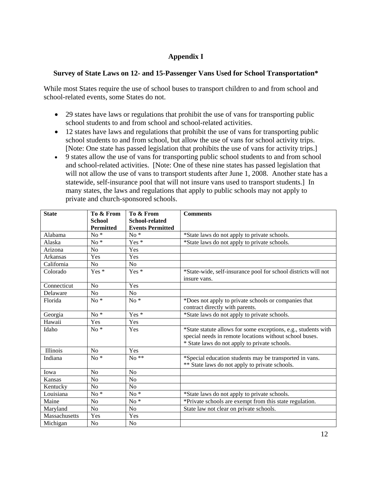#### **Appendix I**

#### **Survey of State Laws on 12- and 15-Passenger Vans Used for School Transportation\***

While most States require the use of school buses to transport children to and from school and school-related events, some States do not.

- 29 states have laws or regulations that prohibit the use of vans for transporting public school students to and from school and school-related activities.
- 12 states have laws and regulations that prohibit the use of vans for transporting public school students to and from school, but allow the use of vans for school activity trips. [Note: One state has passed legislation that prohibits the use of vans for activity trips.]
- 9 states allow the use of vans for transporting public school students to and from school and school-related activities. [Note: One of these nine states has passed legislation that will not allow the use of vans to transport students after June 1, 2008. Another state has a statewide, self-insurance pool that will not insure vans used to transport students.] In many states, the laws and regulations that apply to public schools may not apply to private and church-sponsored schools.

| <b>State</b>         | To & From        | To & From               | <b>Comments</b>                                                                                                                                                            |  |  |
|----------------------|------------------|-------------------------|----------------------------------------------------------------------------------------------------------------------------------------------------------------------------|--|--|
|                      | <b>School</b>    | School-related          |                                                                                                                                                                            |  |  |
|                      | <b>Permitted</b> | <b>Events Permitted</b> |                                                                                                                                                                            |  |  |
| Alabama              | $No*$            | $No*$                   | *State laws do not apply to private schools.                                                                                                                               |  |  |
| Alaska               | $No*$            | Yes <sup>*</sup>        | *State laws do not apply to private schools.                                                                                                                               |  |  |
| Arizona              | No               | Yes                     |                                                                                                                                                                            |  |  |
| Arkansas             | Yes              | Yes                     |                                                                                                                                                                            |  |  |
| California           | No               | N <sub>o</sub>          |                                                                                                                                                                            |  |  |
| Colorado             | $Yes*$           | Yes <sup>*</sup>        | *State-wide, self-insurance pool for school districts will not<br>insure vans.                                                                                             |  |  |
| Connecticut          | N <sub>o</sub>   | Yes                     |                                                                                                                                                                            |  |  |
| Delaware             | N <sub>o</sub>   | N <sub>o</sub>          |                                                                                                                                                                            |  |  |
| Florida              | $No*$            | $No*$                   | *Does not apply to private schools or companies that<br>contract directly with parents.                                                                                    |  |  |
| Georgia              | $No*$            | Yes*                    | *State laws do not apply to private schools.                                                                                                                               |  |  |
| Hawaii               | Yes              | Yes                     |                                                                                                                                                                            |  |  |
| Idaho                | $No*$            | Yes                     | *State statute allows for some exceptions, e.g., students with<br>special needs in remote locations without school buses.<br>* State laws do not apply to private schools. |  |  |
| Illinois             | No               | Yes                     |                                                                                                                                                                            |  |  |
| Indiana              | $No*$            | $No \overline{**}$      | *Special education students may be transported in vans.<br>** State laws do not apply to private schools.                                                                  |  |  |
| Iowa                 | No               | N <sub>o</sub>          |                                                                                                                                                                            |  |  |
| Kansas               | N <sub>0</sub>   | N <sub>o</sub>          |                                                                                                                                                                            |  |  |
| Kentucky             | N <sub>o</sub>   | N <sub>o</sub>          |                                                                                                                                                                            |  |  |
| Louisiana            | $No*$            | $No*$                   | *State laws do not apply to private schools.                                                                                                                               |  |  |
| Maine                | N <sub>o</sub>   | $No*$                   | *Private schools are exempt from this state regulation.                                                                                                                    |  |  |
| Maryland             | N <sub>o</sub>   | N <sub>o</sub>          | State law not clear on private schools.                                                                                                                                    |  |  |
| <b>Massachusetts</b> | Yes              | Yes                     |                                                                                                                                                                            |  |  |
| Michigan             | N <sub>o</sub>   | N <sub>o</sub>          |                                                                                                                                                                            |  |  |